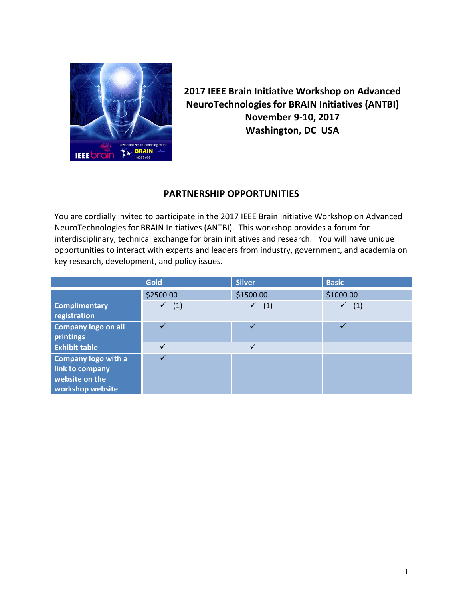

**2017 IEEE Brain Initiative Workshop on Advanced NeuroTechnologies for BRAIN Initiatives (ANTBI) November 9-10, 2017 Washington, DC USA**

## **PARTNERSHIP OPPORTUNITIES**

You are cordially invited to participate in the 2017 IEEE Brain Initiative Workshop on Advanced NeuroTechnologies for BRAIN Initiatives (ANTBI). This workshop provides a forum for interdisciplinary, technical exchange for brain initiatives and research. You will have unique opportunities to interact with experts and leaders from industry, government, and academia on key research, development, and policy issues.

|                                                                                     | <b>Gold</b> | <b>Silver</b>    | <b>Basic</b> |
|-------------------------------------------------------------------------------------|-------------|------------------|--------------|
|                                                                                     | \$2500.00   | \$1500.00        | \$1000.00    |
| <b>Complimentary</b><br>registration                                                | (1)         | (1)<br>$\sqrt{}$ | ✓<br>(1)     |
| <b>Company logo on all</b><br>printings                                             |             |                  | ✓            |
| <b>Exhibit table</b>                                                                |             | ✓                |              |
| <b>Company logo with a</b><br>link to company<br>website on the<br>workshop website |             |                  |              |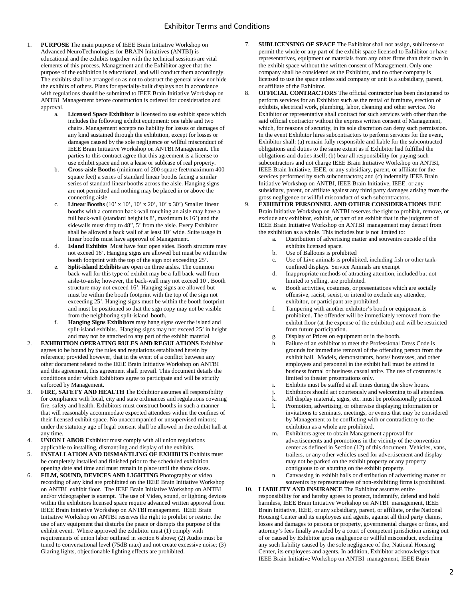- 1. **PURPOSE** The main purpose of IEEE Brain Initiative Workshop on Advanced NeuroTechnologies for BRAIN Initaitives (ANTBI) is educational and the exhibits together with the technical sessions are vital elements of this process. Management and the Exhibitor agree that the purpose of the exhibition is educational, and will conduct them accordingly. The exhibits shall be arranged so as not to obstruct the general view nor hide the exhibits of others. Plans for specially-built displays not in accordance with regulations should be submitted to IEEE Brain Initiative Workshop on ANTBI Management before construction is ordered for consideration and approval.
	- a. **Licensed Space Exhibitor** is licensed to use exhibit space which includes the following exhibit equipment: one table and two chairs. Management accepts no liability for losses or damages of any kind sustained through the exhibition, except for losses or damages caused by the sole negligence or willful misconduct of IEEE Brain Initiative Workshop on ANTBI Management. The parties to this contract agree that this agreement is a license to use exhibit space and not a lease or sublease of real property.
	- b. **Cross-aisle Booths** (minimum of 200 square feet/maximum 400 square feet) a series of standard linear booths facing a similar series of standard linear booths across the aisle. Hanging signs are not permitted and nothing may be placed in or above the connecting aisle
	- **Linear Booths** (10' x 10', 10' x 20', 10' x 30') Smaller linear booths with a common back-wall touching an aisle may have a full back-wall (standard height is 8', maximum is 16') and the sidewalls must drop to 48", 5' from the aisle. Every Exhibitor shall be allowed a back wall of at least 10' wide. Suite usage in linear booths must have approval of Management.
	- d. **Island Exhibits** Must have four open sides. Booth structure may not exceed 16'. Hanging signs are allowed but must be within the booth footprint with the top of the sign not exceeding 25'.
	- e. **Split-island Exhibits** are open on three aisles. The common back-wall for this type of exhibit may be a full back-wall from aisle-to-aisle; however, the back-wall may not exceed 10'. Booth structure may not exceed 16'. Hanging signs are allowed but must be within the booth footprint with the top of the sign not exceeding 25'. Hanging signs must be within the booth footprint and must be positioned so that the sign copy may not be visible from the neighboring split-island booth.
	- f. **Hanging Signs Exhibitors** may hang signs over the island and split-island exhibits. Hanging signs may not exceed 25' in height and may not be attached to any part of the exhibit material
- 2. **EXHIBITION OPERATING RULES AND REGULATIONS** Exhibitor agrees to be bound by the rules and regulations established herein by reference; provided however, that in the event of a conflict between any other document related to the IEEE Brain Initiative Workshop on ANTBI and this agreement, this agreement shall prevail. This document details the conditions under which Exhibitors agree to participate and will be strictly enforced by Management.
- 3. **FIRE, SAFETY AND HEALTH** The Exhibitor assumes all responsibility for compliance with local, city and state ordinances and regulations covering fire, safety and health. Exhibitors must construct booths in such a manner that will reasonably accommodate expected attendees within the confines of their licensed exhibit space. No unaccompanied or unsupervised minors; under the statutory age of legal consent shall be allowed in the exhibit hall at any time.
- 4. **UNION LABOR** Exhibitor must comply with all union regulations applicable to installing, dismantling and display of the exhibits.
- 5. **INSTALLATION AND DISMANTLING OF EXHIBITS** Exhibits must be completely installed and finished prior to the scheduled exhibition opening date and time and must remain in place until the show closes.
- 6. **FILM, SOUND, DEVICES AND LIGHTING** Photography or video recording of any kind are prohibited on the IEEE Brain Initiative Workshop on ANTBI exhibit floor. The IEEE Brain Initiative Workshop on ANTBI and/or videographer is exempt. The use of Video, sound, or lighting devices within the exhibitors licensed space require advanced written approval from IEEE Brain Initiative Workshop on ANTBI management. IEEE Brain Initiative Workshop on ANTBI reserves the right to prohibit or restrict the use of any equipment that disturbs the peace or disrupts the purpose of the exhibit event. Where approved the exhibitor must (1) comply with requirements of union labor outlined in section 6 above; (2) Audio must be tuned to conversational level (75dB max) and not create excessive noise; (3) Glaring lights, objectionable lighting effects are prohibited.
- 7. **SUBLICENSING OF SPACE** The Exhibitor shall not assign, sublicense or permit the whole or any part of the exhibit space licensed to Exhibitor or have representatives, equipment or materials from any other firms than their own in the exhibit space without the written consent of Management. Only one company shall be considered as the Exhibitor, and no other company is licensed to use the space unless said company or unit is a subsidiary, parent, or affiliate of the Exhibitor.
- 8. **OFFICIAL CONTRACTORS** The official contractor has been designated to perform services for an Exhibitor such as the rental of furniture, erection of exhibits, electrical work, plumbing, labor, cleaning and other service. No Exhibitor or representative shall contract for such services with other than the said official contractor without the express written consent of Management, which, for reasons of security, in its sole discretion can deny such permission. In the event Exhibitor hires subcontractors to perform services for the event, Exhibitor shall: (a) remain fully responsible and liable for the subcontracted obligations and duties to the same extent as if Exhibitor had fulfilled the obligations and duties itself; (b) bear all responsibility for paying such subcontractors and not charge IEEE Brain Initiative Workshop on ANTBI, IEEE Brain Initiative, IEEE, or any subsidiary, parent, or affiliate for the services performed by such subcontractors; and (c) indemnify IEEE Brain Initiative Workshop on ANTBI, IEEE Brain Initiative, IEEE, or any subsidiary, parent, or affiliate against any third party damages arising from the gross negligence or willful misconduct of such subcontractors.
- 9. **EXHIBITOR PERSONNEL AND OTHER CONSIDERATIONS** IEEE Brain Initiative Workshop on ANTBI reserves the right to prohibit, remove, or exclude any exhibitor, exhibit, or part of an exhibit that in the judgment of IEEE Brain Initiative Workshop on ANTBI management may detract from the exhibition as a whole. This includes but is not limited to:
	- a. Distribution of advertising matter and souvenirs outside of the exhibits licensed space.
	- b. Use of Balloons is prohibited
	- c. Use of Live animals is prohibited, including fish or other tankconfined displays. Service Animals are exempt
	- d. Inappropriate methods of attracting attention, included but not limited to yelling, are prohibited.
	- e. Booth activities, costumes, or presentations which are socially offensive, racist, sexist, or intend to exclude any attendee, exhibitor, or participant are prohibited.
	- Tampering with another exhibitor's booth or equipment is prohibited. The offender will be immediately removed from the exhibit floor (at the expense of the exhibitor) and will be restricted from future participation.
	- g. Display of Prices on equipment or in the booth.
	- h. Failure of an exhibitor to meet the Professional Dress Code is grounds for immediate removal of the offending person from the exhibit hall. Models, demonstrators, hosts/ hostesses, and other employees and personnel in the exhibit hall must be attired in business formal or business casual attire. The use of costumes is limited to theater presentations only.
	- i. Exhibits must be staffed at all times during the show hours.
	- j. Exhibitors should act courteously and welcoming to all attendees.
	- k. All display material, signs, etc. must be professionally produced.
	- l. Promotion, advertising, or otherwise displaying information or invitations to seminars, meetings, or events that may be considered by Management to be conflicting with or contradictory to the exhibition as a whole are prohibited.
	- m. Exhibitors agree to obtain Management approval for advertisements and promotions in the vicinity of the convention center as defined in Section (12) of this document. Vehicles, vans, trailers, or any other vehicles used for advertisement and display may not be parked on the exhibit property or any property contiguous to or abutting on the exhibit property.
	- n. Canvassing in exhibit halls or distribution of advertising matter or souvenirs by representatives of non-exhibiting firms is prohibited.
- 10. **LIABILITY AND INSURANCE** The Exhibitor assumes entire responsibility for and hereby agrees to protect, indemnify, defend and hold harmless, IEEE Brain Initiative Workshop on ANTBI management, IEEE Brain Initiative, IEEE, or any subsidiary, parent, or affiliate, or the National Housing Center and its employees and agents, against all third party claims, losses and damages to persons or property, governmental charges or fines, and attorney's fees finally awarded by a court of competent jurisdiction arising out of or caused by Exhibitor gross negligence or willful misconduct, excluding any such liability caused by the sole negligence of the, National Housing Center, its employees and agents. In addition, Exhibitor acknowledges that IEEE Brain Initiative Workshop on ANTBI management, IEEE Brain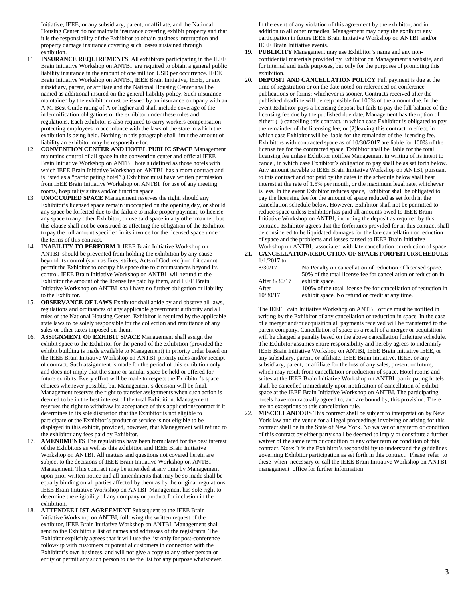Initiative, IEEE, or any subsidiary, parent, or affiliate, and the National Housing Center do not maintain insurance covering exhibit property and that it is the responsibility of the Exhibitor to obtain business interruption and property damage insurance covering such losses sustained through exhibition.

- 11. **INSURANCE REQUIREMENTS**. All exhibitors participating in the IEEE Brain Initiative Workshop on ANTBI are required to obtain a general public liability insurance in the amount of one million USD per occurrence. IEEE Brain Initiative Workshop on ANTBI, IEEE Brain Initiative, IEEE, or any subsidiary, parent, or affiliate and the National Housing Center shall be named as additional insured on the general liability policy. Such insurance maintained by the exhibitor must be issued by an insurance company with an A.M. Best Guide rating of A or higher and shall include coverage of the indemnification obligations of the exhibitor under these rules and regulations. Each exhibitor is also required to carry workers compensation protecting employees in accordance with the laws of the state in which the exhibition is being held. Nothing in this paragraph shall limit the amount of liability an exhibitor may be responsible for.
- 12. **CONVENTION CENTER AND HOTEL PUBLIC SPACE** Management maintains control of all space in the convention center and official IEEE Brain Initiative Workshop on ANTBI hotels (defined as those hotels with which IEEE Brain Initiative Workshop on ANTBI has a room contract and is listed as a "participating hotel".) Exhibitor must have written permission from IEEE Brain Initiative Workshop on ANTBI for use of any meeting rooms, hospitality suites and/or function space.
- 13. **UNOCCUPIED SPACE** Management reserves the right, should any Exhibitor's licensed space remain unoccupied on the opening day, or should any space be forfeited due to the failure to make proper payment, to license any space to any other Exhibitor, or use said space in any other manner, but this clause shall not be construed as affecting the obligation of the Exhibitor to pay the full amount specified in its invoice for the licensed space under the terms of this contract.
- 14. **INABILITY TO PERFORM** If IEEE Brain Initiative Workshop on ANTBI should be prevented from holding the exhibition by any cause beyond its control (such as fires, strikes, Acts of God, etc.) or if it cannot permit the Exhibitor to occupy his space due to circumstances beyond its control, IEEE Brain Initiative Workshop on ANTBI will refund to the Exhibitor the amount of the license fee paid by them, and IEEE Brain Initiative Workshop on ANTBI shall have no further obligation or liability to the Exhibitor.
- 15. **OBSERVANCE OF LAWS** Exhibitor shall abide by and observe all laws, regulations and ordinances of any applicable government authority and all rules of the National Housing Center. Exhibitor is required by the applicable state laws to be solely responsible for the collection and remittance of any sales or other taxes imposed on them.
- 16. **ASSIGNMENT OF EXHIBIT SPACE** Management shall assign the exhibit space to the Exhibitor for the period of the exhibition (provided the exhibit building is made available to Management) in priority order based on the IEEE Brain Initiative Workshop on ANTBI priority rules and/or receipt of contract. Such assignment is made for the period of this exhibition only and does not imply that the same or similar space be held or offered for future exhibits. Every effort will be made to respect the Exhibitor's space choices whenever possible, but Management's decision will be final. Management reserves the right to transfer assignments when such action is deemed to be in the best interest of the total Exhibition. Management reserves the right to withdraw its acceptance of this application/contract if it determines in its sole discretion that the Exhibitor is not eligible to participate or the Exhibitor's product or service is not eligible to be displayed in this exhibit, provided, however, that Management will refund to the exhibitor any fees paid by Exhibitor.
- 17. **AMENDMENTS** The regulations have been formulated for the best interest of the Exhibitors as well as this exhibition and IEEE Brain Initiative Workshop on ANTBI. All matters and questions not covered herein are subject to the decisions of IEEE Brain Initiative Workshop on ANTBI Management. This contract may be amended at any time by Management upon prior written notice and all amendments that may be so made shall be equally binding on all parties affected by them as by the original regulations. IEEE Brain Initiative Workshop on ANTBI Management has sole right to determine the eligibility of any company or product for inclusion in the exhibition.
- 18. **ATTENDEE LIST AGREEMENT** Subsequent to the IEEE Brain Initiative Workshop on ANTBI, following the written request of the exhibitor, IEEE Brain Initiative Workshop on ANTBI Management shall send to the Exhibitor a list of names and addresses of the registrants. The Exhibitor explicitly agrees that it will use the list only for post-conference follow-up with customers or potential customers in connection with the Exhibitor's own business, and will not give a copy to any other person or entity or permit any such person to use the list for any purpose whatsoever.

In the event of any violation of this agreement by the exhibitor, and in addition to all other remedies, Management may deny the exhibitor any participation in future IEEE Brain Initiative Workshop on ANTBI and/or IEEE Brain Initiative events.

- 19. **PUBLICITY** Management may use Exhibitor's name and any nonconfidential materials provided by Exhibitor on Management's website, and for internal and trade purposes, but only for the purposes of promoting this exhibition.
- 20. **DEPOSIT AND CANCELLATION POLICY** Full payment is due at the time of registration or on the date noted on referenced on conference publications or forms; whichever is sooner. Contracts received after the published deadline will be responsible for 100% of the amount due. In the event Exhibitor pays a licensing deposit but fails to pay the full balance of the licensing fee due by the published due date, Management has the option of either: (1) cancelling this contract, in which case Exhibitor is obligated to pay the remainder of the licensing fee; or (2)leaving this contract in effect, in which case Exhibitor will be liable for the remainder of the licensing fee. Exhibitors with contracted space as of 10/30/2017 are liable for 100% of the license fee for the contracted space. Exhibitor shall be liable for the total licensing fee unless Exhibitor notifies Management in writing of its intent to cancel, in which case Exhibitor's obligation to pay shall be as set forth below. Any amount payable to IEEE Brain Initiative Workshop on ANTBI, pursuant to this contract and not paid by the dates in the schedule below shall bear interest at the rate of 1.5% per month, or the maximum legal rate, whichever is less. In the event Exhibitor reduces space, Exhibitor shall be obligated to pay the licensing fee for the amount of space reduced as set forth in the cancellation schedule below. However, Exhibitor shall not be permitted to reduce space unless Exhibitor has paid all amounts owed to IEEE Brain Initiative Workshop on ANTBI, including the deposit as required by this contract. Exhibitor agrees that the forfeitures provided for in this contract shall be considered to be liquidated damages for the late cancellation or reduction of space and the problems and losses caused to IEEE Brain Initiative Workshop on ANTBI, associated with late cancellation or reduction of space.
- **21. CANCELLATION/REDUCTION OF SPACE FORFEITURSCHEDULE** 1/1/2017 to<br>8/30/17 No Penalty on cancellation of reduction of licensed space.

| $O/DU+I$      | TO I chally on cancellation of reduction of neclised space.    |
|---------------|----------------------------------------------------------------|
|               | 50% of the total license fee for cancellation or reduction in  |
| After 8/30/17 | exhibit space.                                                 |
| After         | 100% of the total license fee for cancellation of reduction in |
| 10/30/17      | exhibit space. No refund or credit at any time.                |

The IEEE Brain Initiative Workshop on ANTBI office must be notified in writing by the Exhibitor of any cancellation or reduction in space. In the case of a merger and/or acquisition all payments received will be transferred to the parent company. Cancellation of space as a result of a merger or acquisition will be charged a penalty based on the above cancellation forfeiture schedule. The Exhibitor assumes entire responsibility and hereby agrees to indemnify IEEE Brain Initiative Workshop on ANTBI, IEEE Brain Initiative IEEE, or any subsidiary, parent, or affiliate, IEEE Brain Initiative, IEEE, or any subsidiary, parent, or affiliate for the loss of any sales, present or future, which may result from cancellation or reduction of space. Hotel rooms and suites at the IEEE Brain Initiative Workshop on ANTBI participating hotels shall be cancelled immediately upon notification of cancellation of exhibit space at the IEEE Brain Initiative Workshop on ANTBI. The participating hotels have contractually agreed to, and are bound by, this provision. There are no exceptions to this cancellation rule.

22. **MISCELLANEOUS** This contract shall be subject to interpretation by New York law and the venue for all legal proceedings involving or arising for this contract shall be in the State of New York. No waiver of any term or condition of this contract by either party shall be deemed to imply or constitute a further waiver of the same term or condition or any other term or condition of this contract. Note: It is the Exhibitor's responsibility to understand the guidelines governing Exhibitor participation as set forth in this contract. Please refer to these when necessary or call the IEEE Brain Initiative Workshop on ANTBI management office for further information.